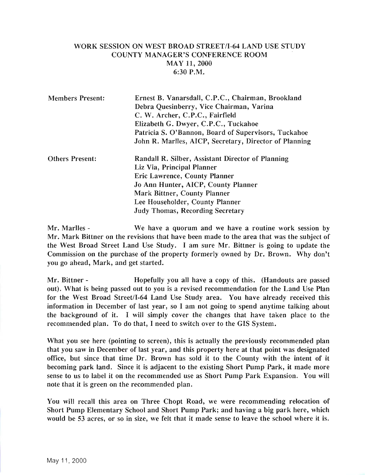## WORK SESSION ON WEST BROAD STREET/I-64 LAND USE STUDY COUNTY MANAGER'S CONFERENCE ROOM MAY 11,2000 6:30 P.M.

| <b>Members Present:</b> | Ernest B. Vanarsdall, C.P.C., Chairman, Brookland<br>Debra Quesinberry, Vice Chairman, Varina<br>C. W. Archer, C.P.C., Fairfield<br>Elizabeth G. Dwyer, C.P.C., Tuckahoe<br>Patricia S. O'Bannon, Board of Supervisors, Tuckahoe |
|-------------------------|----------------------------------------------------------------------------------------------------------------------------------------------------------------------------------------------------------------------------------|
|                         | John R. Marlles, AICP, Secretary, Director of Planning                                                                                                                                                                           |
| <b>Others Present:</b>  | Randall R. Silber, Assistant Director of Planning<br>Liz Via, Principal Planner                                                                                                                                                  |
|                         | Eric Lawrence, County Planner                                                                                                                                                                                                    |
|                         | Jo Ann Hunter, AICP, County Planner                                                                                                                                                                                              |
|                         | Mark Bittner, County Planner                                                                                                                                                                                                     |
|                         | Lee Householder, County Planner                                                                                                                                                                                                  |
|                         | <b>Judy Thomas, Recording Secretary</b>                                                                                                                                                                                          |

Mr. Marlles - We have a quorum and we have a routine work session by Mr. Mark Bittner on the revisions that have been made to the area that was the subject of the West Broad Street Land Use Study. I am sure Mr. Bittner is going to update the Commission on the purchase of the property formerly owned by Dr. Brown. Why don't you go ahead, Mark, and get started.

Mr. Bittner - Hopefully you all have a copy of this. (Handouts are passed out). What is being passed out to you is a revised recommendation for the Land Use Plan for the West Broad Street/I-64 Land Use Study area. You have already received this information in December of last year, so I am not going to spend anytime talking about the background of it. I will simply cover the changes that have taken place to the recommended plan. To do that, I need to switch over to the GIS System.

What you see here (pointing to screen), this is actually the previously recommended plan that you saw in December of last year, and this property here at that point was designated office, but since that time Dr. Brown has sold it to the County with the intent of it becoming park land. Since it is adjacent to the existing Short Pump Park, it made more sense to us to label it on the recommended use as Short Pump Park Expansion. You will note that it is green on the recommended plan.

You will recall this area on Three Chopt Road, we were recommending relocation of Short Pump Elementary School and Short Pump Park; and having a big park here, which would be 53 acres, or so in size, we felt that it made sense to leave the school where it is.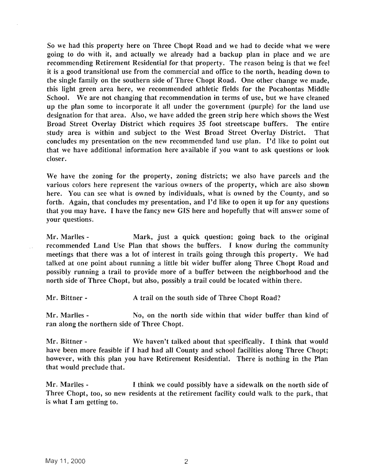So we had this property here on Three Chopt Road and we had to decide what we were going to do with it, and actually we already had a backup plan in place and we are recommending Retirement Residential for that property. The reason being is that we feel it is a good transitional use from the commercial and office to the north, heading down to the single family on the southern side of Three Chopt Road. One other change we made, this light green area here, we recommended athletic fields for the Pocahontas Middle School. We are not changing that recommendation in terms of use, but we have cleaned up the plan some to incorporate it all under the government (purple) for the land use designation for that area. Also, we have added the green strip here which shows the West Broad Street Overlay District which requires 3S foot streetscape buffers. The entire study area is within and subject to the West Broad Street Overlay District. That concludes my presentation on the new recommended land use plan. I'd like to point out that we have additional information here available if you want to ask questions or look closer.

We have the zoning for the property, zoning districts; we also have parcels and the various colors here represent the various owners of the property, which are also shown here. You can see what is owned by individuals, what is owned by the County, and so forth. Again, that concludes my presentation, and I'd like to open it up for any questions that you may have. I have the fancy new GIS here and hopefully that will answer some of your questions.

Mr. Marlles - Mark, just a quick question; going back to the original recommended Land Use Plan that shows the buffers. I know during the community meetings that there was a lot of interest in trails going through this property. We had talked at one point about running a little bit wider buffer along Three Chopt Road and possibly running a trail to provide more of a buffer between the neighborhood and the north side of Three Chopt, but also, possibly a trail could be located within there.

Mr. Bittner - A trail on the south side of Three Chopt Road?

Mr. Marlles - No, on the north side within that wider buffer than kind of ran along the northern side of Three Chopt.

Mr. Bittner - We haven't talked about that specifically. I think that would have been more feasible if I had had all County and school facilities along Three Chopt; however, with this plan you have Retirement Residential. There is nothing in the Plan that would preclude that.

Mr. Marlles - I think we could possibly have a sidewalk on the north side of Three Chopt, too, so new residents at the retirement facility could walk to the park, that is what I am getting to.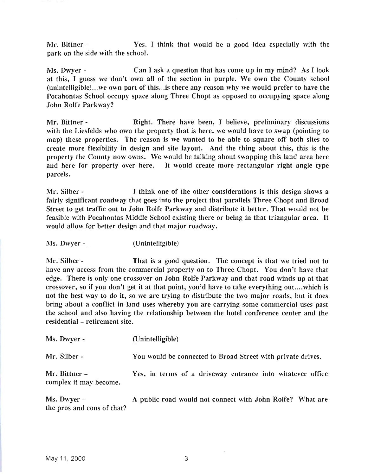Mr. Bittner - Yes. I think that would be a good idea especially with the park on the side with the school.

Ms. Dwyer - Can I ask a question that has come up in my mind? As I look at this, I guess we don't own all of the section in purple. We own the County school (unintelligible)...we own part of this...is there any reason why we would prefer to have the Pocahontas School occupy space along Three Chopt as opposed to occupying space along John Rolfe Parkway?

Mr. Bittner - **Right. There have been, I believe, preliminary discussions** with the Liesfelds who own the property that is here, we would have to swap (pointing to map) these properties. The reason is we wanted to be able to square off both sites to create more flexibility in design and site layout. And the thing about this, this is the property the County now owns. We would be talking about swapping this land area here and here for property over here. It would create more rectangular right angle type parcels.

Mr. Silber - I think one of the other considerations is this design shows a fairly significant roadway that goes into the project that parallels Three Chopt and Broad Street to get traffic out to John Rolfe Parkway and distribute it better. That would not be feasible with Pocahontas Middle School existing there or being in that triangular area. It would allow for better design and that major roadway.

Ms. Dwyer - . (Unintelligible)

Mr. Silber - That is a good question. The concept is that we tried not to have any access from the commercial property on to Three Chopt. You don't have that edge. There is only one crossover on John Rolfe Parkway and that road winds up at that crossover, so if you don't get it at that point, you'd have to take everything out....which is not the best way to do it, so we are trying to distribute the two major roads, but it does bring about a conflict in land uses whereby you are carrying some commercial uses past the school and also having the relationship between the hotel conference center and the residential - retirement site.

| Ms. Dwyer -                             | (Unintelligible)                                            |
|-----------------------------------------|-------------------------------------------------------------|
| Mr. Silber -                            | You would be connected to Broad Street with private drives. |
| Mr. Bittner –<br>complex it may become. | Yes, in terms of a driveway entrance into whatever office   |

Ms. Dwyer - A public road would not connect with John Rolfe? What are the pros and cons of that?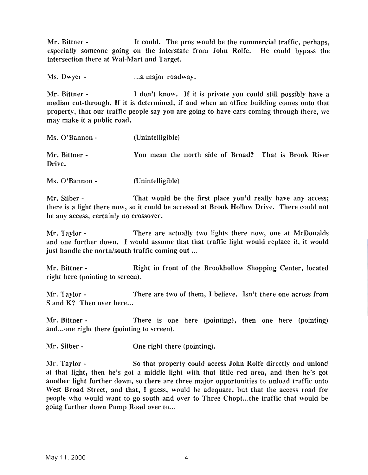Mr. Bittner - It could. The pros would be the commercial traffic, perhaps, especially someone going on the interstate from John Rolfe. He could bypass the intersection there at Wal-Mart and Target.

Ms. Dwyer- ...a major roadway.

Mr. Bittner - I don't know. If it is private you could still possibly have a median cut-through. If it is determined, if and when an office building comes onto that property, that our traffic people say you are going to have cars coming through there, we may make it a public road.

| Ms. O'Bannon -          | (Unintelligible)                                      |  |
|-------------------------|-------------------------------------------------------|--|
| Mr. Bittner -<br>Drive. | You mean the north side of Broad? That is Brook River |  |

Ms. O'Bannon - (Unintelligible)

Mr. Silber - That would be the first place you'd really have any access; there is a light there now, so it could be accessed at Brook Hollow Drive. There could not be any access, certainly no crossover.

Mr. Taylor - There are actually two lights there now, one at McDonalds and one further down. I would assume that that traffic light would replace it, it would just handle the north/south traffic coming out ...

Mr. Bittner - **Right in front of the Brookhollow Shopping Center, located** right here (pointing to screen).

Mr. Taylor - There are two of them, I believe. Isn't there one across from Sand K? Then over here...

Mr. Bittner - There is one here (pointing), then one here (pointing) and...one right there (pointing to screen).

Mr. Silber - One right there (pointing).

Mr. Taylor - So that property could access John Rolfe directly and unload at that light, then he's got a middle light with that little red area, and then he's got another light further down, so there are three major opportunities to unload traffic onto West Broad Street, and that, I guess, would be adequate, but that the access road for people who would want to go south and over to Three Chopt...the traffic that would be going further down Pump Road over to...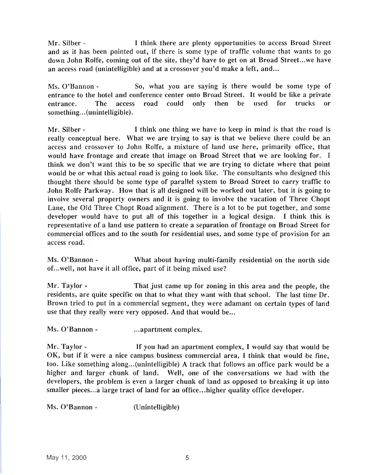Mr. Silber - Think there are plenty opportunities to access Broad Street and as it has been pointed out, if there is some type of traffic volume that wants to go down John Rolfe, coming out of the site, they'd have to get on at Broad Street...we have an access road (unintelligible) and at a crossover you'd make a left, and...

Ms. O'Bannon - So, what you are saying is there would be some type of entrance to the hotel and conference center onto Broad Street. It would be like a private entrance. The access road could only then be used for trucks or something...(unintelligible).

Mr. Silber - I think one thing we have to keep in mind is that the road is really conceptual here. What we are trying to say is that we believe there could be an access and crossover to John Rolfe, a mixture of land use here, primarily office, that would have frontage and create that image on Broad Street that we are looking for. I think we don't want this to be so specific that we are trying to dictate where that point would be or what this actual road is going to look like. The consultants who designed this thought there should be some type of parallel system to Broad Street to carry traffic to John Rolfe Parkway. How that is all designed will be worked out later, but it is going to involve several property owners and it is going to involve the vacation of Three Chopt Lane, the Old Three Chopt Road alignment. There is a lot to be put together, and some developer would have to put all of this together in a logical design. I think this is representative of a land use pattern to create a separation of frontage on Broad Street for commercial offices and to the south for residential uses, and some type of provision for an access road.

Ms. O'Bannon - What about having multi-family residential on the north side of. ..well, not have it all office, part of it being mixed use?

Mr. Taylor - That just came up for zoning in this area and the people, the residents, are quite specific on that to what they want with that school. The last time Dr. Brown tried to put in a commercial segment, they were adamant on certain types of land use that they really were very opposed. And that would be...

Ms. O'Bannon - ...apartment complex.

Mr. Taylor - If you had an apartment complex, I would say that would be OK, but if it were a nice campus business commercial area, I think that would be fine, too. Like something along...(unintelligible) A track that follows an office park would be a higher and larger chunk of land. Well, one of the conversations we had with the developers, the problem is even a larger chunk of land as opposed to breaking it up into smaller pieces...a large tract of land for an office...higher quality office developer.

Ms. O'Bannon - (Unintelligible)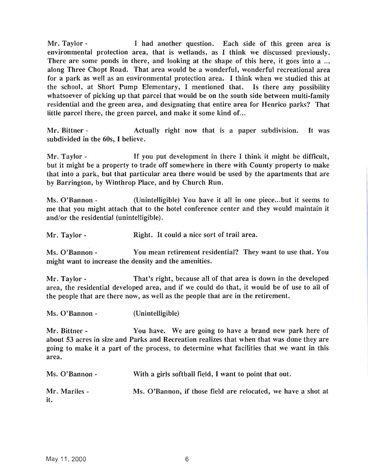Mr. Taylor - I had another question. Each side of this green area is environmental protection area, that is wetlands, as I think we discussed previously. There are some ponds in there, and looking at the shape of this here, it goes into a ... along Three Chopt Road. That area would be a wonderful, wonderful recreational area for a park as well as an environmental protection area. I think when we studied this at the school, at Short Pump Elementary, I mentioned that. Is there any possibility whatsoever of picking up that parcel that would be on the south side between multi-family residential and the green area, and designating that entire area for Henrico parks? That little parcel there, the green parcel, and make it some kind of...

Mr. Bittner - The Actually right now that is a paper subdivision. It was subdivided in the 60s, I believe.

Mr. Taylor - If you put development in there I think it might be difficult, but it might be a property to trade off somewhere in there with County property to make that into a park, but that particular area there would be used by the apartments that are by Barrington, by Winthrop Place, and by Church Run.

Ms. O'Bannon - (Unintelligible) You have it all in one piece...but it seems to me that you might attach that to the hotel conference center and they would maintain it and/or the residential (unintelligible).

Mr. Taylor - Right. It could a nice sort of trail area.

Ms. O'Bannon - You mean retirement residential? They want to use that. You might want to increase the density and the amenities.

Mr. Taylor - That's right, because all of that area is down in the developed area, the residential developed area, and if we could do that, it would be of use to all of the people that are there now, as well as the people that are in the retirement.

Ms. O'Bannon - (Unintelligible)

Mr. Bittner - You have. We are going to have a brand new park here of about 53 acres in size and Parks and Recreation realizes that when that was done they are going to make it a part of the process, to determine what facilities that we want in this area.

| Ms. O'Bannon -       | With a girls softball field, I want to point that out.        |  |
|----------------------|---------------------------------------------------------------|--|
| Mr. Marlles -<br>it. | Ms. O'Bannon, if those field are relocated, we have a shot at |  |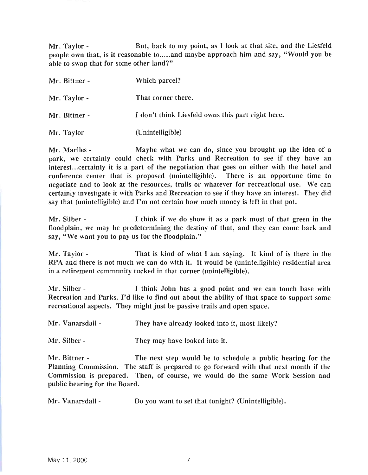Mr. Taylor - But, back to my point, as I look at that site, and the Liesfeld people own that, is it reasonable to.....and maybe approach him and say, "Would you be able to swap that for some other land?"

| Mr. Bittner - | Which parcel?                                     |
|---------------|---------------------------------------------------|
| Mr. Taylor -  | That corner there.                                |
| Mr. Bittner - | I don't think Liesfeld owns this part right here. |
| Mr. Taylor -  | (Unintelligible)                                  |

Mr. Marlles - Maybe what we can do, since you brought up the idea of a park, we certainly could check with Parks and Recreation to see if they have an interest...certainly it is a part of the negotiation that goes on either with the hotel and conference center that is proposed (unintelligible). There is an opportune time to negotiate and to look at the resources, trails or whatever for recreational use. We can certainly investigate it with Parks and Recreation to see if they have an interest. They did say that (unintelligible) and I'm not certain how much money is left in that pot.

Mr. Silber - I think if we do show it as a park most of that green in the floodplain, we may be predetermining the destiny of that, and they can come back and say, "We want you to pay us for the floodplain."

Mr. Taylor - That is kind of what I am saying. It kind of is there in the RPA and there is not much we can do with it. It would be (unintelligible) residential area in a retirement community tucked in that corner (unintelligible).

Mr. Silber - I think John has a good point and we can touch base with Recreation and Parks. I'd like to find out about the ability of that space to support some recreational aspects. They might just be passive trails and open space.

Mr. Vanarsdall - They have already looked into it, most likely?

Mr. Silber - They may have looked into it.

Mr. Bittner - The next step would be to schedule a public hearing for the Planning Commission. The staff is prepared to go forward with that next month if the Commission is prepared. Then, of course, we would do the same Work Session and public hearing for the Board.

Mr. Vanarsdall - Do you want to set that tonight? (Unintelligible).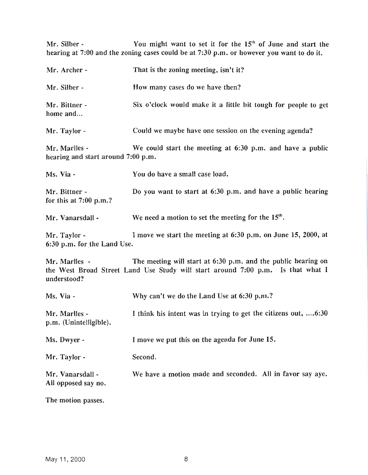Mr. Silber - You might want to set it for the  $15<sup>th</sup>$  of June and start the hearing at 7:00 and the zoning cases could be at 7:30 p.m. or however you want to do it.

| Mr. Archer -                                        | That is the zoning meeting, isn't it?                                                                                                            |
|-----------------------------------------------------|--------------------------------------------------------------------------------------------------------------------------------------------------|
| Mr. Silber -                                        | How many cases do we have then?                                                                                                                  |
| Mr. Bittner -<br>home and                           | Six o'clock would make it a little bit tough for people to get                                                                                   |
| Mr. Taylor -                                        | Could we maybe have one session on the evening agenda?                                                                                           |
| Mr. Marlles -<br>hearing and start around 7:00 p.m. | We could start the meeting at 6:30 p.m. and have a public                                                                                        |
| Ms. Via -                                           | You do have a small case load.                                                                                                                   |
| Mr. Bittner -<br>for this at $7:00$ p.m.?           | Do you want to start at 6:30 p.m. and have a public hearing                                                                                      |
| Mr. Vanarsdall -                                    | We need a motion to set the meeting for the 15 <sup>th</sup> .                                                                                   |
| Mr. Taylor -<br>6:30 p.m. for the Land Use.         | I move we start the meeting at 6:30 p.m. on June 15, 2000, at                                                                                    |
| Mr. Marlles -<br>understood?                        | The meeting will start at 6:30 p.m. and the public hearing on<br>the West Broad Street Land Use Study will start around 7:00 p.m. Is that what I |
| Ms. Via -                                           | Why can't we do the Land Use at 6:30 p.m.?                                                                                                       |
| Mr. Marlles -<br>p.m. (Unintelligible).             | I think his intent was in trying to get the citizens out,  6:30                                                                                  |
| Ms. Dwyer -                                         | I move we put this on the agenda for June 15.                                                                                                    |
| Mr. Taylor -                                        | Second.                                                                                                                                          |
| Mr. Vanarsdall -<br>All opposed say no.             | We have a motion made and seconded. All in favor say aye.                                                                                        |
| TL <sub>2</sub>                                     |                                                                                                                                                  |

The motion passes.